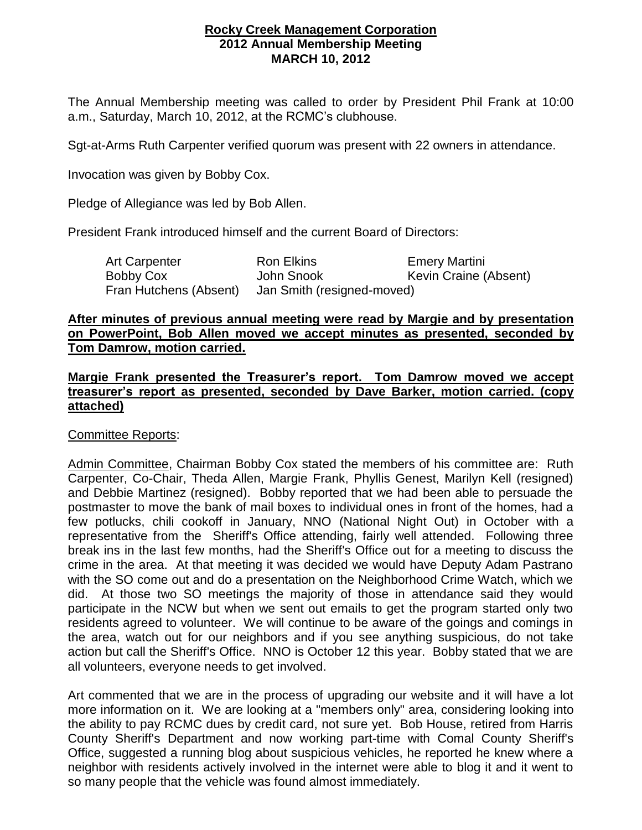## **Rocky Creek Management Corporation 2012 Annual Membership Meeting MARCH 10, 2012**

The Annual Membership meeting was called to order by President Phil Frank at 10:00 a.m., Saturday, March 10, 2012, at the RCMC's clubhouse.

Sgt-at-Arms Ruth Carpenter verified quorum was present with 22 owners in attendance.

Invocation was given by Bobby Cox.

Pledge of Allegiance was led by Bob Allen.

President Frank introduced himself and the current Board of Directors:

Art Carpenter **Ron Elkins** Emery Martini Bobby Cox John Snook Kevin Craine (Absent)<br>Fran Hutchens (Absent) Jan Smith (resigned-moved) Jan Smith (resigned-moved)

## **After minutes of previous annual meeting were read by Margie and by presentation on PowerPoint, Bob Allen moved we accept minutes as presented, seconded by Tom Damrow, motion carried.**

## **Margie Frank presented the Treasurer's report. Tom Damrow moved we accept treasurer's report as presented, seconded by Dave Barker, motion carried. (copy attached)**

Committee Reports:

Admin Committee, Chairman Bobby Cox stated the members of his committee are: Ruth Carpenter, Co-Chair, Theda Allen, Margie Frank, Phyllis Genest, Marilyn Kell (resigned) and Debbie Martinez (resigned). Bobby reported that we had been able to persuade the postmaster to move the bank of mail boxes to individual ones in front of the homes, had a few potlucks, chili cookoff in January, NNO (National Night Out) in October with a representative from the Sheriff's Office attending, fairly well attended. Following three break ins in the last few months, had the Sheriff's Office out for a meeting to discuss the crime in the area. At that meeting it was decided we would have Deputy Adam Pastrano with the SO come out and do a presentation on the Neighborhood Crime Watch, which we did. At those two SO meetings the majority of those in attendance said they would participate in the NCW but when we sent out emails to get the program started only two residents agreed to volunteer. We will continue to be aware of the goings and comings in the area, watch out for our neighbors and if you see anything suspicious, do not take action but call the Sheriff's Office. NNO is October 12 this year. Bobby stated that we are all volunteers, everyone needs to get involved.

Art commented that we are in the process of upgrading our website and it will have a lot more information on it. We are looking at a "members only" area, considering looking into the ability to pay RCMC dues by credit card, not sure yet. Bob House, retired from Harris County Sheriff's Department and now working part-time with Comal County Sheriff's Office, suggested a running blog about suspicious vehicles, he reported he knew where a neighbor with residents actively involved in the internet were able to blog it and it went to so many people that the vehicle was found almost immediately.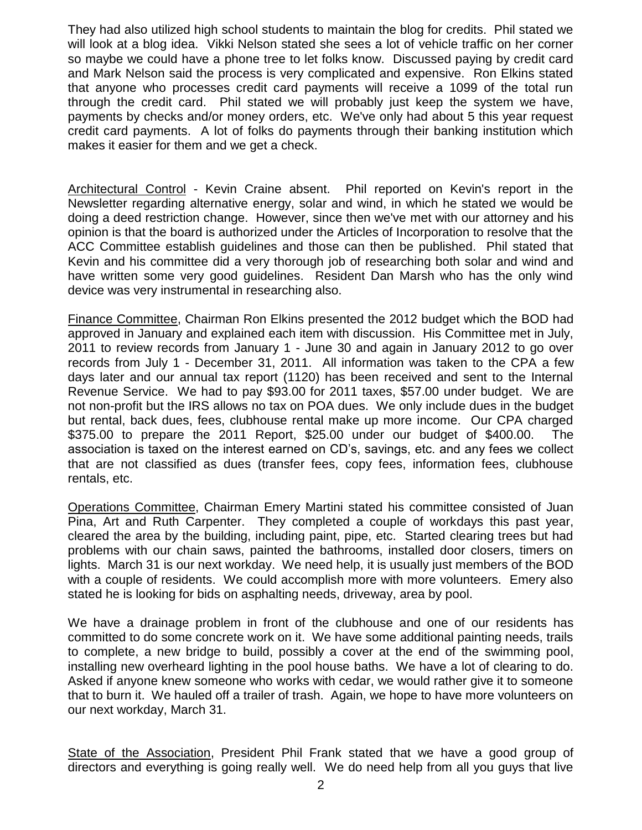They had also utilized high school students to maintain the blog for credits. Phil stated we will look at a blog idea. Vikki Nelson stated she sees a lot of vehicle traffic on her corner so maybe we could have a phone tree to let folks know. Discussed paying by credit card and Mark Nelson said the process is very complicated and expensive. Ron Elkins stated that anyone who processes credit card payments will receive a 1099 of the total run through the credit card. Phil stated we will probably just keep the system we have, payments by checks and/or money orders, etc. We've only had about 5 this year request credit card payments. A lot of folks do payments through their banking institution which makes it easier for them and we get a check.

Architectural Control - Kevin Craine absent. Phil reported on Kevin's report in the Newsletter regarding alternative energy, solar and wind, in which he stated we would be doing a deed restriction change. However, since then we've met with our attorney and his opinion is that the board is authorized under the Articles of Incorporation to resolve that the ACC Committee establish guidelines and those can then be published. Phil stated that Kevin and his committee did a very thorough job of researching both solar and wind and have written some very good guidelines. Resident Dan Marsh who has the only wind device was very instrumental in researching also.

Finance Committee, Chairman Ron Elkins presented the 2012 budget which the BOD had approved in January and explained each item with discussion. His Committee met in July, 2011 to review records from January 1 - June 30 and again in January 2012 to go over records from July 1 - December 31, 2011. All information was taken to the CPA a few days later and our annual tax report (1120) has been received and sent to the Internal Revenue Service. We had to pay \$93.00 for 2011 taxes, \$57.00 under budget. We are not non-profit but the IRS allows no tax on POA dues. We only include dues in the budget but rental, back dues, fees, clubhouse rental make up more income. Our CPA charged \$375.00 to prepare the 2011 Report, \$25.00 under our budget of \$400.00. The association is taxed on the interest earned on CD's, savings, etc. and any fees we collect that are not classified as dues (transfer fees, copy fees, information fees, clubhouse rentals, etc.

Operations Committee, Chairman Emery Martini stated his committee consisted of Juan Pina, Art and Ruth Carpenter. They completed a couple of workdays this past year, cleared the area by the building, including paint, pipe, etc. Started clearing trees but had problems with our chain saws, painted the bathrooms, installed door closers, timers on lights. March 31 is our next workday. We need help, it is usually just members of the BOD with a couple of residents. We could accomplish more with more volunteers. Emery also stated he is looking for bids on asphalting needs, driveway, area by pool.

We have a drainage problem in front of the clubhouse and one of our residents has committed to do some concrete work on it. We have some additional painting needs, trails to complete, a new bridge to build, possibly a cover at the end of the swimming pool, installing new overheard lighting in the pool house baths. We have a lot of clearing to do. Asked if anyone knew someone who works with cedar, we would rather give it to someone that to burn it. We hauled off a trailer of trash. Again, we hope to have more volunteers on our next workday, March 31.

State of the Association, President Phil Frank stated that we have a good group of directors and everything is going really well. We do need help from all you guys that live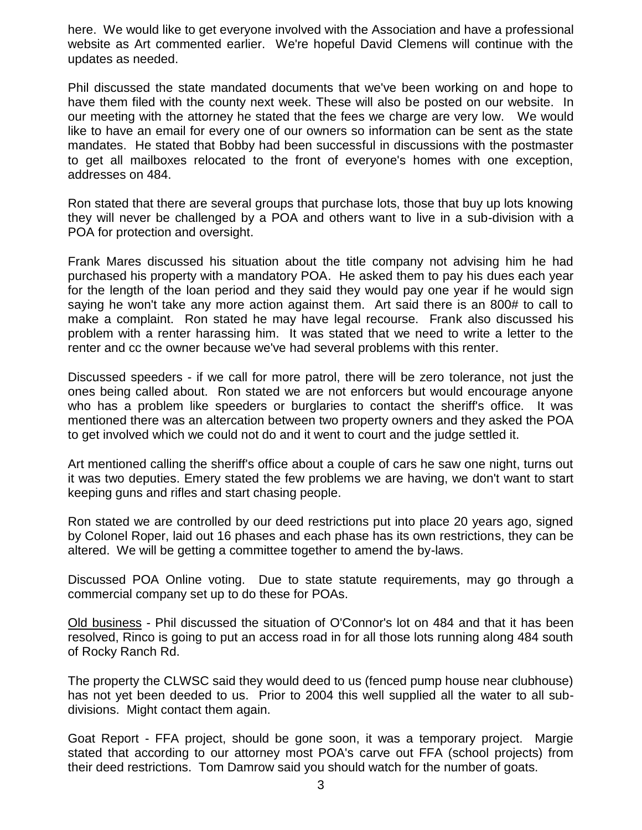here. We would like to get everyone involved with the Association and have a professional website as Art commented earlier. We're hopeful David Clemens will continue with the updates as needed.

Phil discussed the state mandated documents that we've been working on and hope to have them filed with the county next week. These will also be posted on our website. In our meeting with the attorney he stated that the fees we charge are very low. We would like to have an email for every one of our owners so information can be sent as the state mandates. He stated that Bobby had been successful in discussions with the postmaster to get all mailboxes relocated to the front of everyone's homes with one exception, addresses on 484.

Ron stated that there are several groups that purchase lots, those that buy up lots knowing they will never be challenged by a POA and others want to live in a sub-division with a POA for protection and oversight.

Frank Mares discussed his situation about the title company not advising him he had purchased his property with a mandatory POA. He asked them to pay his dues each year for the length of the loan period and they said they would pay one year if he would sign saying he won't take any more action against them. Art said there is an 800# to call to make a complaint. Ron stated he may have legal recourse. Frank also discussed his problem with a renter harassing him. It was stated that we need to write a letter to the renter and cc the owner because we've had several problems with this renter.

Discussed speeders - if we call for more patrol, there will be zero tolerance, not just the ones being called about. Ron stated we are not enforcers but would encourage anyone who has a problem like speeders or burglaries to contact the sheriff's office. It was mentioned there was an altercation between two property owners and they asked the POA to get involved which we could not do and it went to court and the judge settled it.

Art mentioned calling the sheriff's office about a couple of cars he saw one night, turns out it was two deputies. Emery stated the few problems we are having, we don't want to start keeping guns and rifles and start chasing people.

Ron stated we are controlled by our deed restrictions put into place 20 years ago, signed by Colonel Roper, laid out 16 phases and each phase has its own restrictions, they can be altered. We will be getting a committee together to amend the by-laws.

Discussed POA Online voting. Due to state statute requirements, may go through a commercial company set up to do these for POAs.

Old business - Phil discussed the situation of O'Connor's lot on 484 and that it has been resolved, Rinco is going to put an access road in for all those lots running along 484 south of Rocky Ranch Rd.

The property the CLWSC said they would deed to us (fenced pump house near clubhouse) has not yet been deeded to us. Prior to 2004 this well supplied all the water to all subdivisions. Might contact them again.

Goat Report - FFA project, should be gone soon, it was a temporary project. Margie stated that according to our attorney most POA's carve out FFA (school projects) from their deed restrictions. Tom Damrow said you should watch for the number of goats.